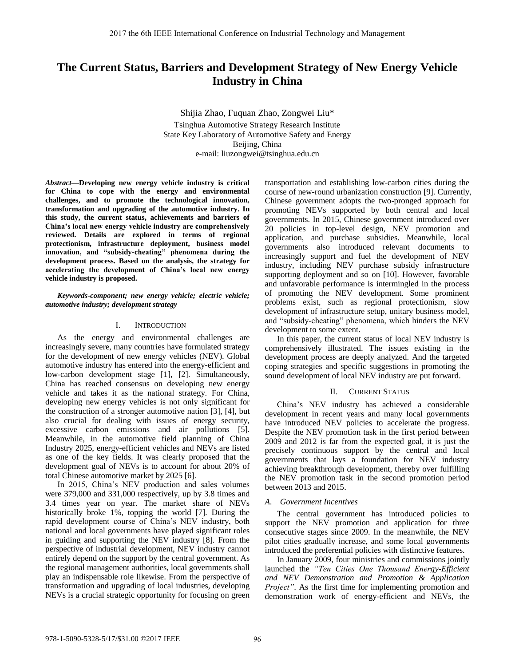# **The Current Status, Barriers and Development Strategy of New Energy Vehicle Industry in China**

Shijia Zhao, Fuquan Zhao, Zongwei Liu\* Tsinghua Automotive Strategy Research Institute State Key Laboratory of Automotive Safety and Energy Beijing, China e-mail: liuzongwei@tsinghua.edu.cn

*Abstract***—Developing new energy vehicle industry is critical for China to cope with the energy and environmental challenges, and to promote the technological innovation, transformation and upgrading of the automotive industry. In this study, the current status, achievements and barriers of China's local new energy vehicle industry are comprehensively reviewed. Details are explored in terms of regional protectionism, infrastructure deployment, business model innovation, and "subsidy-cheating" phenomena during the development process. Based on the analysis, the strategy for accelerating the development of China's local new energy vehicle industry is proposed.** 

## *Keywords-component; new energy vehicle; electric vehicle; automotive industry; development strategy*

## I. INTRODUCTION

As the energy and environmental challenges are increasingly severe, many countries have formulated strategy for the development of new energy vehicles (NEV). Global automotive industry has entered into the energy-efficient and low-carbon development stage [1], [2]. Simultaneously, China has reached consensus on developing new energy vehicle and takes it as the national strategy. For China, developing new energy vehicles is not only significant for the construction of a stronger automotive nation [3], [4], but also crucial for dealing with issues of energy security, excessive carbon emissions and air pollutions [5]. Meanwhile, in the automotive field planning of China Industry 2025, energy-efficient vehicles and NEVs are listed as one of the key fields. It was clearly proposed that the development goal of NEVs is to account for about 20% of total Chinese automotive market by 2025 [6].

In 2015, China's NEV production and sales volumes were 379,000 and 331,000 respectively, up by 3.8 times and 3.4 times year on year. The market share of NEVs historically broke 1%, topping the world [7]. During the rapid development course of China's NEV industry, both national and local governments have played significant roles in guiding and supporting the NEV industry [8]. From the perspective of industrial development, NEV industry cannot entirely depend on the support by the central government. As the regional management authorities, local governments shall play an indispensable role likewise. From the perspective of transformation and upgrading of local industries, developing NEVs is a crucial strategic opportunity for focusing on green transportation and establishing low-carbon cities during the course of new-round urbanization construction [9]. Currently, Chinese government adopts the two-pronged approach for promoting NEVs supported by both central and local governments. In 2015, Chinese government introduced over 20 policies in top-level design, NEV promotion and application, and purchase subsidies. Meanwhile, local governments also introduced relevant documents to increasingly support and fuel the development of NEV industry, including NEV purchase subsidy infrastructure supporting deployment and so on [10]. However, favorable and unfavorable performance is intermingled in the process of promoting the NEV development. Some prominent problems exist, such as regional protectionism, slow development of infrastructure setup, unitary business model, and "subsidy-cheating" phenomena, which hinders the NEV development to some extent.

In this paper, the current status of local NEV industry is comprehensively illustrated. The issues existing in the development process are deeply analyzed. And the targeted coping strategies and specific suggestions in promoting the sound development of local NEV industry are put forward.

# II. CURRENT STATUS

China's NEV industry has achieved a considerable development in recent years and many local governments have introduced NEV policies to accelerate the progress. Despite the NEV promotion task in the first period between 2009 and 2012 is far from the expected goal, it is just the precisely continuous support by the central and local governments that lays a foundation for NEV industry achieving breakthrough development, thereby over fulfilling the NEV promotion task in the second promotion period between 2013 and 2015.

# *A. Government Incentives*

The central government has introduced policies to support the NEV promotion and application for three consecutive stages since 2009. In the meanwhile, the NEV pilot cities gradually increase, and some local governments introduced the preferential policies with distinctive features.

In January 2009, four ministries and commissions jointly launched the *"Ten Cities One Thousand Energy-Efficient and NEV Demonstration and Promotion & Application Project"*. As the first time for implementing promotion and demonstration work of energy-efficient and NEVs, the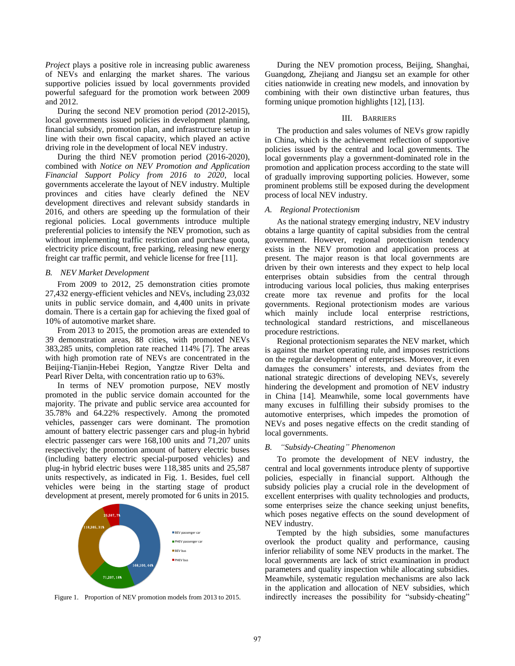*Project* plays a positive role in increasing public awareness of NEVs and enlarging the market shares. The various supportive policies issued by local governments provided powerful safeguard for the promotion work between 2009 and 2012.

During the second NEV promotion period (2012-2015), local governments issued policies in development planning, financial subsidy, promotion plan, and infrastructure setup in line with their own fiscal capacity, which played an active driving role in the development of local NEV industry.

During the third NEV promotion period (2016-2020), combined with *Notice on NEV Promotion and Application Financial Support Policy from 2016 to 2020*, local governments accelerate the layout of NEV industry. Multiple provinces and cities have clearly defined the NEV development directives and relevant subsidy standards in 2016, and others are speeding up the formulation of their regional policies. Local governments introduce multiple preferential policies to intensify the NEV promotion, such as without implementing traffic restriction and purchase quota, electricity price discount, free parking, releasing new energy freight car traffic permit, and vehicle license for free [11].

## *B. NEV Market Development*

From 2009 to 2012, 25 demonstration cities promote 27,432 energy-efficient vehicles and NEVs, including 23,032 units in public service domain, and 4,400 units in private domain. There is a certain gap for achieving the fixed goal of 10% of automotive market share.

From 2013 to 2015, the promotion areas are extended to 39 demonstration areas, 88 cities, with promoted NEVs 383,285 units, completion rate reached 114% [7]. The areas with high promotion rate of NEVs are concentrated in the Beijing-Tianjin-Hebei Region, Yangtze River Delta and Pearl River Delta, with concentration ratio up to 63%.

In terms of NEV promotion purpose, NEV mostly promoted in the public service domain accounted for the majority. The private and public service area accounted for 35.78% and 64.22% respectively. Among the promoted vehicles, passenger cars were dominant. The promotion amount of battery electric passenger cars and plug-in hybrid electric passenger cars were 168,100 units and 71,207 units respectively; the promotion amount of battery electric buses (including battery electric special-purposed vehicles) and plug-in hybrid electric buses were 118,385 units and 25,587 units respectively, as indicated in Fig. 1. Besides, fuel cell vehicles were being in the starting stage of product development at present, merely promoted for 6 units in 2015.



Figure 1. Proportion of NEV promotion models from 2013 to 2015.

During the NEV promotion process, Beijing, Shanghai, Guangdong, Zhejiang and Jiangsu set an example for other cities nationwide in creating new models, and innovation by combining with their own distinctive urban features, thus forming unique promotion highlights [12], [13].

## III. BARRIERS

The production and sales volumes of NEVs grow rapidly in China, which is the achievement reflection of supportive policies issued by the central and local governments. The local governments play a government-dominated role in the promotion and application process according to the state will of gradually improving supporting policies. However, some prominent problems still be exposed during the development process of local NEV industry.

#### *A. Regional Protectionism*

As the national strategy emerging industry, NEV industry obtains a large quantity of capital subsidies from the central government. However, regional protectionism tendency exists in the NEV promotion and application process at present. The major reason is that local governments are driven by their own interests and they expect to help local enterprises obtain subsidies from the central through introducing various local policies, thus making enterprises create more tax revenue and profits for the local governments. Regional protectionism modes are various which mainly include local enterprise restrictions, technological standard restrictions, and miscellaneous procedure restrictions.

Regional protectionism separates the NEV market, which is against the market operating rule, and imposes restrictions on the regular development of enterprises. Moreover, it even damages the consumers' interests, and deviates from the national strategic directions of developing NEVs, severely hindering the development and promotion of NEV industry in China [14]. Meanwhile, some local governments have many excuses in fulfilling their subsidy promises to the automotive enterprises, which impedes the promotion of NEVs and poses negative effects on the credit standing of local governments.

## *B. "Subsidy-Cheating" Phenomenon*

To promote the development of NEV industry, the central and local governments introduce plenty of supportive policies, especially in financial support. Although the subsidy policies play a crucial role in the development of excellent enterprises with quality technologies and products, some enterprises seize the chance seeking unjust benefits, which poses negative effects on the sound development of NEV industry.

Tempted by the high subsidies, some manufactures overlook the product quality and performance, causing inferior reliability of some NEV products in the market. The local governments are lack of strict examination in product parameters and quality inspection while allocating subsidies. Meanwhile, systematic regulation mechanisms are also lack in the application and allocation of NEV subsidies, which indirectly increases the possibility for "subsidy-cheating"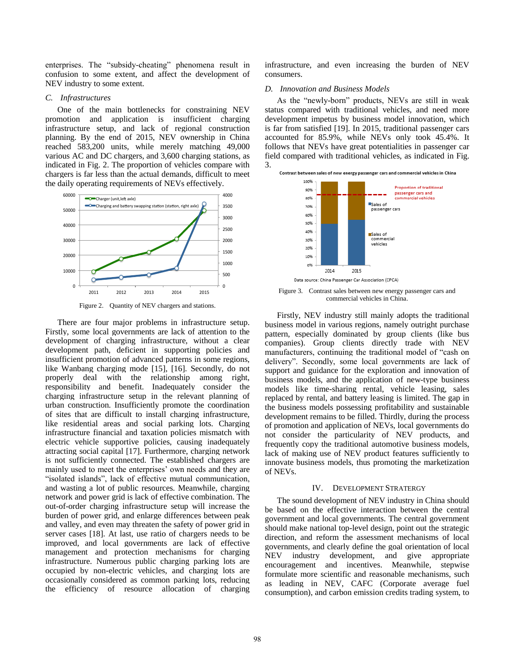enterprises. The "subsidy-cheating" phenomena result in confusion to some extent, and affect the development of NEV industry to some extent.

## *C. Infrastructures*

One of the main bottlenecks for constraining NEV promotion and application is insufficient charging infrastructure setup, and lack of regional construction planning. By the end of 2015, NEV ownership in China reached 583,200 units, while merely matching 49,000 various AC and DC chargers, and 3,600 charging stations, as indicated in Fig. 2. The proportion of vehicles compare with chargers is far less than the actual demands, difficult to meet the daily operating requirements of NEVs effectively.



Figure 2. Quantity of NEV chargers and stations.

There are four major problems in infrastructure setup. Firstly, some local governments are lack of attention to the development of charging infrastructure, without a clear development path, deficient in supporting policies and insufficient promotion of advanced patterns in some regions, like Wanbang charging mode [15], [16]. Secondly, do not properly deal with the relationship among right, responsibility and benefit. Inadequately consider the charging infrastructure setup in the relevant planning of urban construction. Insufficiently promote the coordination of sites that are difficult to install charging infrastructure, like residential areas and social parking lots. Charging infrastructure financial and taxation policies mismatch with electric vehicle supportive policies, causing inadequately attracting social capital [17]. Furthermore, charging network is not sufficiently connected. The established chargers are mainly used to meet the enterprises' own needs and they are "isolated islands", lack of effective mutual communication, and wasting a lot of public resources. Meanwhile, charging network and power grid is lack of effective combination. The out-of-order charging infrastructure setup will increase the burden of power grid, and enlarge differences between peak and valley, and even may threaten the safety of power grid in server cases [18]. At last, use ratio of chargers needs to be improved, and local governments are lack of effective management and protection mechanisms for charging infrastructure. Numerous public charging parking lots are occupied by non-electric vehicles, and charging lots are occasionally considered as common parking lots, reducing the efficiency of resource allocation of charging infrastructure, and even increasing the burden of NEV consumers.

## *D. Innovation and Business Models*

As the "newly-born" products, NEVs are still in weak status compared with traditional vehicles, and need more development impetus by business model innovation, which is far from satisfied [19]. In 2015, traditional passenger cars accounted for 85.9%, while NEVs only took 45.4%. It follows that NEVs have great potentialities in passenger car field compared with traditional vehicles, as indicated in Fig. 3.





Figure 3. Contrast sales between new energy passenger cars and commercial vehicles in China.

Firstly, NEV industry still mainly adopts the traditional business model in various regions, namely outright purchase pattern, especially dominated by group clients (like bus companies). Group clients directly trade with NEV manufacturers, continuing the traditional model of "cash on delivery". Secondly, some local governments are lack of support and guidance for the exploration and innovation of business models, and the application of new-type business models like time-sharing rental, vehicle leasing, sales replaced by rental, and battery leasing is limited. The gap in the business models possessing profitability and sustainable development remains to be filled. Thirdly, during the process of promotion and application of NEVs, local governments do not consider the particularity of NEV products, and frequently copy the traditional automotive business models, lack of making use of NEV product features sufficiently to innovate business models, thus promoting the marketization of NEVs.

#### IV. DEVELOPMENT STRATERGY

The sound development of NEV industry in China should be based on the effective interaction between the central government and local governments. The central government should make national top-level design, point out the strategic direction, and reform the assessment mechanisms of local governments, and clearly define the goal orientation of local NEV industry development, and give appropriate encouragement and incentives. Meanwhile, stepwise formulate more scientific and reasonable mechanisms, such as leading in NEV, CAFC (Corporate average fuel consumption), and carbon emission credits trading system, to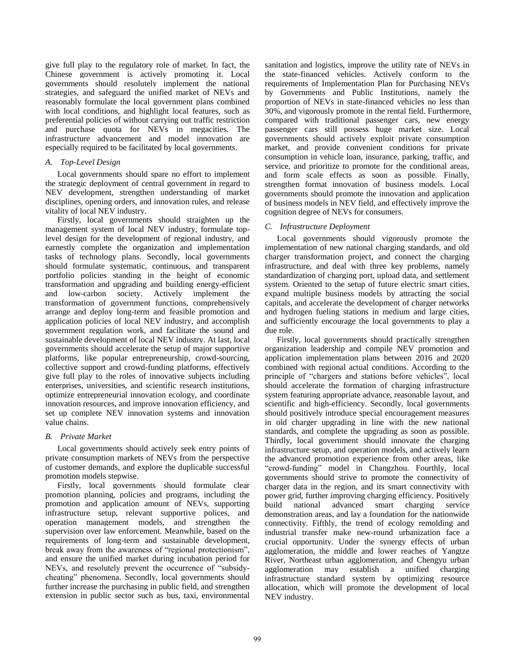give full play to the regulatory role of market. In fact, the Chinese government is actively promoting it. Local governments should resolutely implement the national strategies, and safeguard the unified market of NEVs and reasonably formulate the local government plans combined with local conditions, and highlight local features, such as preferential policies of without carrying out traffic restriction and purchase quota for NEVs in megacities. The infrastructure advancement and model innovation are especially required to be facilitated by local governments.

# *A. Top-Level Design*

Local governments should spare no effort to implement the strategic deployment of central government in regard to NEV development, strengthen understanding of market disciplines, opening orders, and innovation rules, and release vitality of local NEV industry.

Firstly, local governments should straighten up the management system of local NEV industry, formulate toplevel design for the development of regional industry, and earnestly complete the organization and implementation tasks of technology plans. Secondly, local governments should formulate systematic, continuous, and transparent portfolio policies standing in the height of economic transformation and upgrading and building energy-efficient and low-carbon society. Actively implement the transformation of government functions, comprehensively arrange and deploy long-term and feasible promotion and application policies of local NEV industry, and accomplish government regulation work, and facilitate the sound and sustainable development of local NEV industry. At last, local governments should accelerate the setup of major supportive platforms, like popular entrepreneurship, crowd-sourcing, collective support and crowd-funding platforms, effectively give full play to the roles of innovative subjects including enterprises, universities, and scientific research institutions, optimize entrepreneurial innovation ecology, and coordinate innovation resources, and improve innovation efficiency, and set up complete NEV innovation systems and innovation value chains.

# *B. Private Market*

Local governments should actively seek entry points of private consumption markets of NEVs from the perspective of customer demands, and explore the duplicable successful promotion models stepwise.

Firstly, local governments should formulate clear promotion planning, policies and programs, including the promotion and application amount of NEVs, supporting infrastructure setup, relevant supportive polices, and operation management models, and strengthen the supervision over law enforcement. Meanwhile, based on the requirements of long-term and sustainable development, break away from the awareness of "regional protectionism", and ensure the unified market during incubation period for NEVs, and resolutely prevent the occurrence of "subsidycheating" phenomena. Secondly, local governments should further increase the purchasing in public field, and strengthen extension in public sector such as bus, taxi, environmental sanitation and logistics, improve the utility rate of NEVs in the state-financed vehicles. Actively conform to the requirements of Implementation Plan for Purchasing NEVs by Governments and Public Institutions, namely the proportion of NEVs in state-financed vehicles no less than 30%, and vigorously promote in the rental field. Furthermore, compared with traditional passenger cars, new energy passenger cars still possess huge market size. Local governments should actively exploit private consumption market, and provide convenient conditions for private consumption in vehicle loan, insurance, parking, traffic, and service, and prioritize to promote for the conditional areas, and form scale effects as soon as possible. Finally, strengthen format innovation of business models. Local governments should promote the innovation and application of business models in NEV field, and effectively improve the cognition degree of NEVs for consumers.

# *C. Infrastructure Deployment*

Local governments should vigorously promote the implementation of new national charging standards, and old charger transformation project, and connect the charging infrastructure, and deal with three key problems, namely standardization of charging port, upload data, and settlement system. Oriented to the setup of future electric smart cities, expand multiple business models by attracting the social capitals, and accelerate the development of charger networks and hydrogen fueling stations in medium and large cities, and sufficiently encourage the local governments to play a due role.

Firstly, local governments should practically strengthen organization leadership and compile NEV promotion and application implementation plans between 2016 and 2020 combined with regional actual conditions. According to the principle of "chargers and stations before vehicles", local should accelerate the formation of charging infrastructure system featuring appropriate advance, reasonable layout, and scientific and high-efficiency. Secondly, local governments should positively introduce special encouragement measures in old charger upgrading in line with the new national standards, and complete the upgrading as soon as possible. Thirdly, local government should innovate the charging infrastructure setup, and operation models, and actively learn the advanced promotion experience from other areas, like "crowd-funding" model in Changzhou. Fourthly, local governments should strive to promote the connectivity of charger data in the region, and its smart connectivity with power grid, further improving charging efficiency. Positively build national advanced smart charging service demonstration areas, and lay a foundation for the nationwide connectivity. Fifthly, the trend of ecology remolding and industrial transfer make new-round urbanization face a crucial opportunity. Under the synergy effects of urban agglomeration, the middle and lower reaches of Yangtze River, Northeast urban agglomeration, and Chengyu urban agglomeration may establish a unified charging infrastructure standard system by optimizing resource allocation, which will promote the development of local NEV industry.